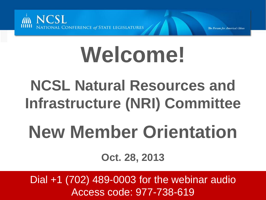

# **Welcome!**

## **NCSL Natural Resources and Infrastructure (NRI) Committee**

## **New Member Orientation**

**Oct. 28, 2013**

Dial +1 (702) 489-0003 for the webinar audio Access code: 977-738-619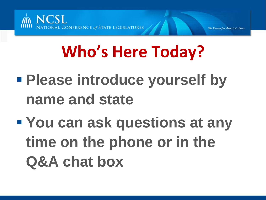

## **Who's Here Today?**

- **Please introduce yourself by name and state**
- **You can ask questions at any time on the phone or in the Q&A chat box**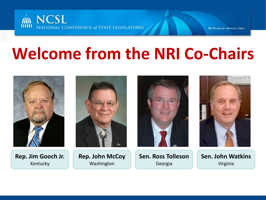

### **Welcome from the NRI Co-Chairs**

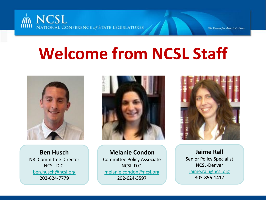

### **Welcome from NCSL Staff**



**Ben Husch** NRI Committee Director NCSL-D.C. [ben.husch@ncsl.org](mailto:ben.husch@ncsl.org) 202-624-7779



**Melanie Condon** Committee Policy Associate NCSL-D.C. [melanie.condon@ncsl.org](mailto:melanie.condon@ncsl.org) 202-624-3597



**Jaime Rall** Senior Policy Specialist NCSL-Denver [jaime.rall@ncsl.org](mailto:jaime.rall@ncsl.org) 303-856-1417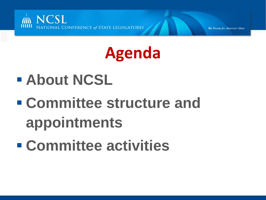

### **Agenda**

- **About NCSL**
- **Committee structure and appointments**
- **Committee activities**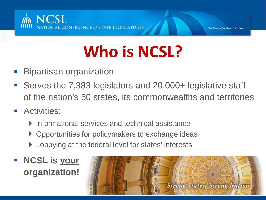

## **Who is NCSL?**

- Bipartisan organization
- Serves the 7,383 legislators and 20,000+ legislative staff of the nation's 50 states, its commonwealths and territories
- **Activities:** 
	- ▶ Informational services and technical assistance
	- ▶ Opportunities for policymakers to exchange ideas
	- **Lobbying at the federal level for states' interests**
- **NCSL is your organization!**

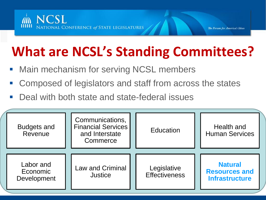

### **What are NCSL's Standing Committees?**

- Main mechanism for serving NCSL members
- Composed of legislators and staff from across the states
- Deal with both state and state-federal issues

| <b>Budgets and</b><br>Revenue        | Communications,<br><b>Financial Services</b><br>and Interstate<br>Commerce | Education                           | Health and<br><b>Human Services</b>                             |
|--------------------------------------|----------------------------------------------------------------------------|-------------------------------------|-----------------------------------------------------------------|
| Labor and<br>Economic<br>Development | <b>Law and Criminal</b><br><b>Justice</b>                                  | Legislative<br><b>Effectiveness</b> | <b>Natural</b><br><b>Resources and</b><br><b>Infrastructure</b> |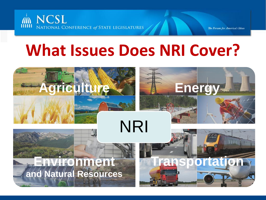

### **What Issues Does NRI Cover?**

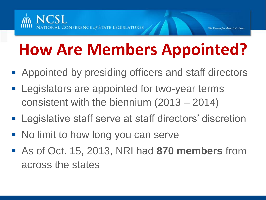### **How Are Members Appointed?**

- Appointed by presiding officers and staff directors
- **Example 1** Legislators are appointed for two-year terms consistent with the biennium (2013 – 2014)
- **Example 1** Legislative staff serve at staff directors' discretion
- No limit to how long you can serve
- As of Oct. 15, 2013, NRI had **870 members** from across the states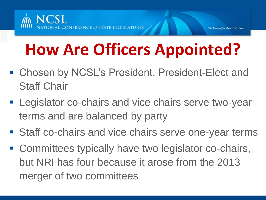

### **How Are Officers Appointed?**

- Chosen by NCSL's President, President-Elect and Staff Chair
- **Legislator co-chairs and vice chairs serve two-year** terms and are balanced by party
- **Staff co-chairs and vice chairs serve one-year terms**
- Committees typically have two legislator co-chairs, but NRI has four because it arose from the 2013 merger of two committees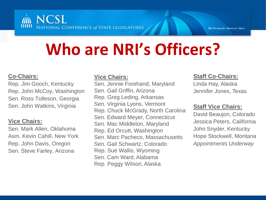

### **Who are NRI's Officers?**

#### **Co-Chairs:**

Rep. Jim Gooch, Kentucky Rep. John McCoy, Washington Sen. Ross Tolleson, Georgia Sen. John Watkins, Virginia

#### **Vice Chairs:**

Sen. Mark Allen, Oklahoma Asm. Kevin Cahill, New York Rep. John Davis, Oregon Sen. Steve Farley, Arizona

#### **Vice Chairs:**

Sen. Jennie Forehand, Maryland Sen. Gail Griffin, Arizona Rep. Greg Leding, Arkansas Sen. Virginia Lyons, Vermont Rep. Chuck McGrady, North Carolina Sen. Edward Meyer, Connecticut Sen. Mac Middleton, Maryland Rep. Ed Orcutt, Washington Sen. Marc Pacheco, Massachusetts Sen. Gail Schwartz, Colorado Rep. Sue Wallis, Wyoming Sen. Cam Ward, Alabama Rep. Peggy Wilson, Alaska

#### **Staff Co-Chairs:**

Linda Hay, Alaska Jennifer Jones, Texas

#### **Staff Vice Chairs:**

David Beaujon, Colorado Jessica Peters, California John Snyder, Kentucky Hope Stockwell, Montana *Appointments Underway*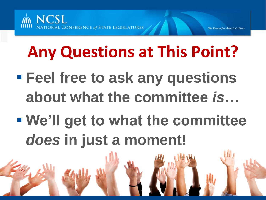

### **Any Questions at This Point?**

- **Feel free to ask any questions about what the committee** *is***…**
- **We'll get to what the committee**  *does* **in just a moment!**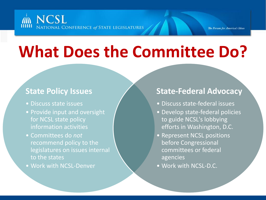### **NCSL** NATIONAL CONFERENCE of STATE LEGISLATURES

### **What Does the Committee Do?**

### **State Policy Issues**

- Discuss state issues
- Provide input and oversight for NCSL state policy information activities
- Committees do *not* recommend policy to the legislatures on issues internal to the states
- Work with NCSL-Denver

### **State-Federal Advocacy**

- Discuss state-federal issues
- Develop state-federal policies to guide NCSL's lobbying efforts in Washington, D.C.
- Represent NCSL positions before Congressional committees or federal agencies
- Work with NCSL-D.C.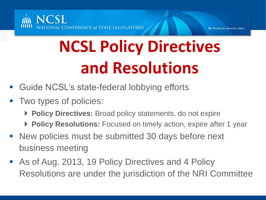

## **NCSL Policy Directives and Resolutions**

- **Guide NCSL's state-federal lobbying efforts**
- Two types of policies:
	- ▶ Policy Directives: Broad policy statements, do not expire
	- **Policy Resolutions:** Focused on timely action, expire after 1 year
- **New policies must be submitted 30 days before next** business meeting
- **As of Aug. 2013, 19 Policy Directives and 4 Policy** Resolutions are under the jurisdiction of the NRI Committee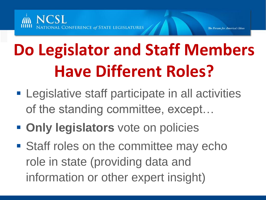

### **Do Legislator and Staff Members Have Different Roles?**

- **Example 1** Legislative staff participate in all activities of the standing committee, except…
- **Only legislators** vote on policies
- Staff roles on the committee may echo role in state (providing data and information or other expert insight)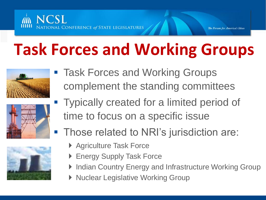

### **Task Forces and Working Groups**







- **Task Forces and Working Groups** complement the standing committees
- **Typically created for a limited period of** time to focus on a specific issue
- **Those related to NRI's jurisdiction are:** 
	- ▶ Agriculture Task Force
	- ▶ Energy Supply Task Force
	- ▶ Indian Country Energy and Infrastructure Working Group
	- ▶ Nuclear Legislative Working Group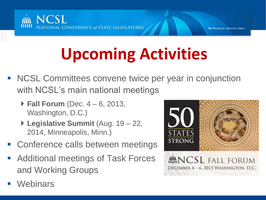

## **Upcoming Activities**

- NCSL Committees convene twice per year in conjunction with NCSL's main national meetings
	- **Fall Forum** (Dec. 4 6, 2013, Washington, D.C.)
	- **Legislative Summit** (Aug. 19 22, 2014, Minneapolis, Minn.)
- Conference calls between meetings
- Additional meetings of Task Forces and Working Groups
- **Webinars**

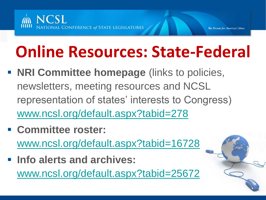

### **Online Resources: State-Federal**

- **NRI Committee homepage** (links to policies, newsletters, meeting resources and NCSL representation of states' interests to Congress) [www.ncsl.org/default.aspx?tabid=278](http://www.ncsl.org/default.aspx?tabid=278)
- **Committee roster:** [www.ncsl.org/default.aspx?tabid=16728](http://www.ncsl.org/default.aspx?tabid=16728)
- **Info alerts and archives:** [www.ncsl.org/default.aspx?tabid=25672](http://www.ncsl.org/default.aspx?tabid=25672)

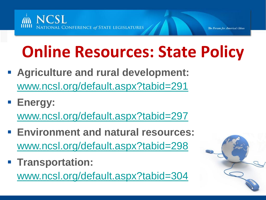

### **Online Resources: State Policy**

- **Agriculture and rural development:**  [www.ncsl.org/default.aspx?tabid=291](http://www.ncsl.org/default.aspx?tabid=291)
- **Energy:** [www.ncsl.org/default.aspx?tabid=297](http://www.ncsl.org/default.aspx?tabid=297)
- **Environment and natural resources:**  [www.ncsl.org/default.aspx?tabid=298](http://www.ncsl.org/default.aspx?tabid=298)
- **Figure 1 Transportation:** [www.ncsl.org/default.aspx?tabid=304](http://www.ncsl.org/default.aspx?tabid=304)